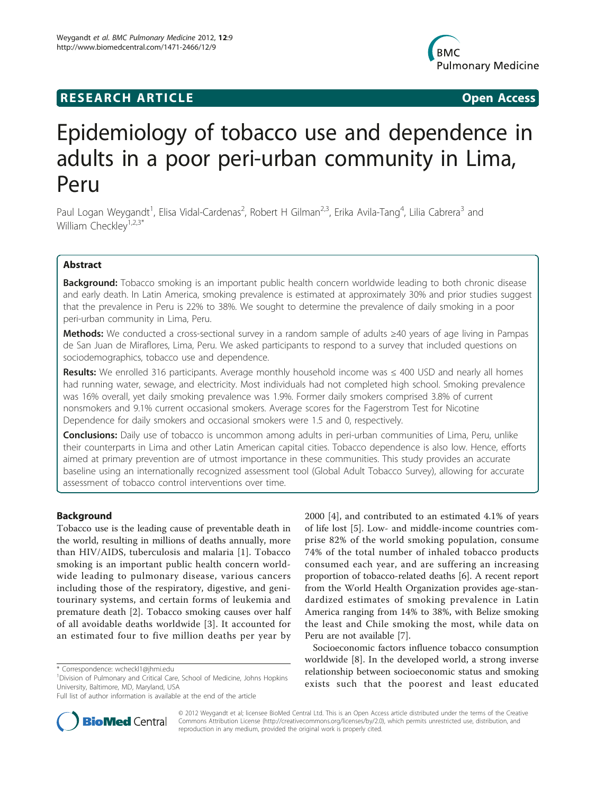# **RESEARCH ARTICLE Example 2018 Open Access**



# Epidemiology of tobacco use and dependence in adults in a poor peri-urban community in Lima, Peru

Paul Logan Weygandt<sup>1</sup>, Elisa Vidal-Cardenas<sup>2</sup>, Robert H Gilman<sup>2,3</sup>, Erika Avila-Tang<sup>4</sup>, Lilia Cabrera<sup>3</sup> and William Checkley<sup>1,2,3\*</sup>

# Abstract

**Background:** Tobacco smoking is an important public health concern worldwide leading to both chronic disease and early death. In Latin America, smoking prevalence is estimated at approximately 30% and prior studies suggest that the prevalence in Peru is 22% to 38%. We sought to determine the prevalence of daily smoking in a poor peri-urban community in Lima, Peru.

Methods: We conducted a cross-sectional survey in a random sample of adults ≥40 years of age living in Pampas de San Juan de Miraflores, Lima, Peru. We asked participants to respond to a survey that included questions on sociodemographics, tobacco use and dependence.

**Results:** We enrolled 316 participants. Average monthly household income was  $\leq$  400 USD and nearly all homes had running water, sewage, and electricity. Most individuals had not completed high school. Smoking prevalence was 16% overall, yet daily smoking prevalence was 1.9%. Former daily smokers comprised 3.8% of current nonsmokers and 9.1% current occasional smokers. Average scores for the Fagerstrom Test for Nicotine Dependence for daily smokers and occasional smokers were 1.5 and 0, respectively.

**Conclusions:** Daily use of tobacco is uncommon among adults in peri-urban communities of Lima, Peru, unlike their counterparts in Lima and other Latin American capital cities. Tobacco dependence is also low. Hence, efforts aimed at primary prevention are of utmost importance in these communities. This study provides an accurate baseline using an internationally recognized assessment tool (Global Adult Tobacco Survey), allowing for accurate assessment of tobacco control interventions over time.

# Background

Tobacco use is the leading cause of preventable death in the world, resulting in millions of deaths annually, more than HIV/AIDS, tuberculosis and malaria [[1\]](#page-8-0). Tobacco smoking is an important public health concern worldwide leading to pulmonary disease, various cancers including those of the respiratory, digestive, and genitourinary systems, and certain forms of leukemia and premature death [[2\]](#page-8-0). Tobacco smoking causes over half of all avoidable deaths worldwide [[3](#page-8-0)]. It accounted for an estimated four to five million deaths per year by



Socioeconomic factors influence tobacco consumption worldwide [[8](#page-8-0)]. In the developed world, a strong inverse relationship between socioeconomic status and smoking exists such that the poorest and least educated



© 2012 Weygandt et al; licensee BioMed Central Ltd. This is an Open Access article distributed under the terms of the Creative Commons Attribution License [\(http://creativecommons.org/licenses/by/2.0](http://creativecommons.org/licenses/by/2.0)), which permits unrestricted use, distribution, and reproduction in any medium, provided the original work is properly cited.

<sup>\*</sup> Correspondence: [wcheckl1@jhmi.edu](mailto:wcheckl1@jhmi.edu)

<sup>&</sup>lt;sup>1</sup> Division of Pulmonary and Critical Care, School of Medicine, Johns Hopkins University, Baltimore, MD, Maryland, USA

Full list of author information is available at the end of the article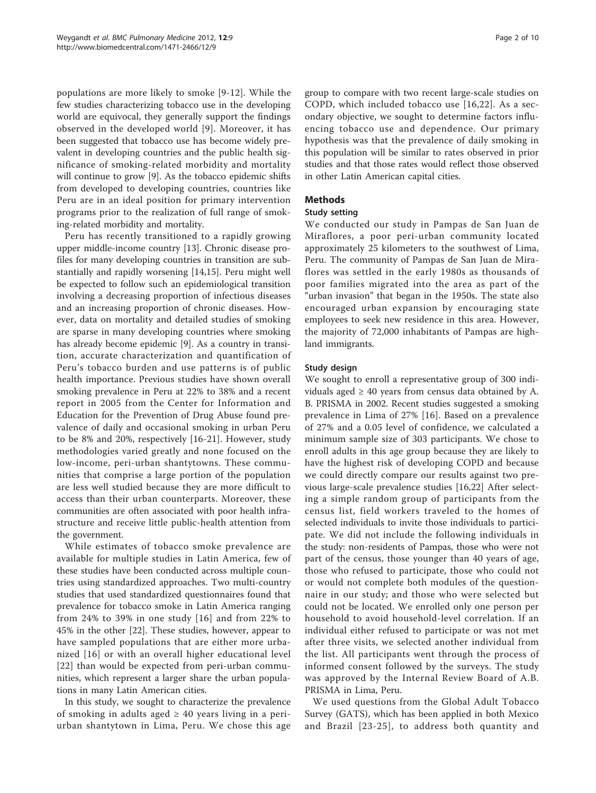populations are more likely to smoke [\[9](#page-8-0)-[12\]](#page-9-0). While the few studies characterizing tobacco use in the developing world are equivocal, they generally support the findings observed in the developed world [[9](#page-8-0)]. Moreover, it has been suggested that tobacco use has become widely prevalent in developing countries and the public health significance of smoking-related morbidity and mortality will continue to grow [\[9](#page-8-0)]. As the tobacco epidemic shifts from developed to developing countries, countries like Peru are in an ideal position for primary intervention programs prior to the realization of full range of smoking-related morbidity and mortality.

Peru has recently transitioned to a rapidly growing upper middle-income country [[13](#page-9-0)]. Chronic disease profiles for many developing countries in transition are substantially and rapidly worsening [\[14,15](#page-9-0)]. Peru might well be expected to follow such an epidemiological transition involving a decreasing proportion of infectious diseases and an increasing proportion of chronic diseases. However, data on mortality and detailed studies of smoking are sparse in many developing countries where smoking has already become epidemic [\[9](#page-8-0)]. As a country in transition, accurate characterization and quantification of Peru's tobacco burden and use patterns is of public health importance. Previous studies have shown overall smoking prevalence in Peru at 22% to 38% and a recent report in 2005 from the Center for Information and Education for the Prevention of Drug Abuse found prevalence of daily and occasional smoking in urban Peru to be 8% and 20%, respectively [\[16](#page-9-0)-[21\]](#page-9-0). However, study methodologies varied greatly and none focused on the low-income, peri-urban shantytowns. These communities that comprise a large portion of the population are less well studied because they are more difficult to access than their urban counterparts. Moreover, these communities are often associated with poor health infrastructure and receive little public-health attention from the government.

While estimates of tobacco smoke prevalence are available for multiple studies in Latin America, few of these studies have been conducted across multiple countries using standardized approaches. Two multi-country studies that used standardized questionnaires found that prevalence for tobacco smoke in Latin America ranging from 24% to 39% in one study [[16](#page-9-0)] and from 22% to 45% in the other [\[22\]](#page-9-0). These studies, however, appear to have sampled populations that are either more urbanized [[16](#page-9-0)] or with an overall higher educational level [[22](#page-9-0)] than would be expected from peri-urban communities, which represent a larger share the urban populations in many Latin American cities.

In this study, we sought to characterize the prevalence of smoking in adults aged  $\geq$  40 years living in a periurban shantytown in Lima, Peru. We chose this age group to compare with two recent large-scale studies on COPD, which included tobacco use [\[16,22](#page-9-0)]. As a secondary objective, we sought to determine factors influencing tobacco use and dependence. Our primary hypothesis was that the prevalence of daily smoking in this population will be similar to rates observed in prior studies and that those rates would reflect those observed in other Latin American capital cities.

# Methods

# Study setting

We conducted our study in Pampas de San Juan de Miraflores, a poor peri-urban community located approximately 25 kilometers to the southwest of Lima, Peru. The community of Pampas de San Juan de Miraflores was settled in the early 1980s as thousands of poor families migrated into the area as part of the "urban invasion" that began in the 1950s. The state also encouraged urban expansion by encouraging state employees to seek new residence in this area. However, the majority of 72,000 inhabitants of Pampas are highland immigrants.

# Study design

We sought to enroll a representative group of 300 individuals aged  $\geq 40$  years from census data obtained by A. B. PRISMA in 2002. Recent studies suggested a smoking prevalence in Lima of 27% [[16\]](#page-9-0). Based on a prevalence of 27% and a 0.05 level of confidence, we calculated a minimum sample size of 303 participants. We chose to enroll adults in this age group because they are likely to have the highest risk of developing COPD and because we could directly compare our results against two previous large-scale prevalence studies [[16,22\]](#page-9-0) After selecting a simple random group of participants from the census list, field workers traveled to the homes of selected individuals to invite those individuals to participate. We did not include the following individuals in the study: non-residents of Pampas, those who were not part of the census, those younger than 40 years of age, those who refused to participate, those who could not or would not complete both modules of the questionnaire in our study; and those who were selected but could not be located. We enrolled only one person per household to avoid household-level correlation. If an individual either refused to participate or was not met after three visits, we selected another individual from the list. All participants went through the process of informed consent followed by the surveys. The study was approved by the Internal Review Board of A.B. PRISMA in Lima, Peru.

We used questions from the Global Adult Tobacco Survey (GATS), which has been applied in both Mexico and Brazil [[23-25\]](#page-9-0), to address both quantity and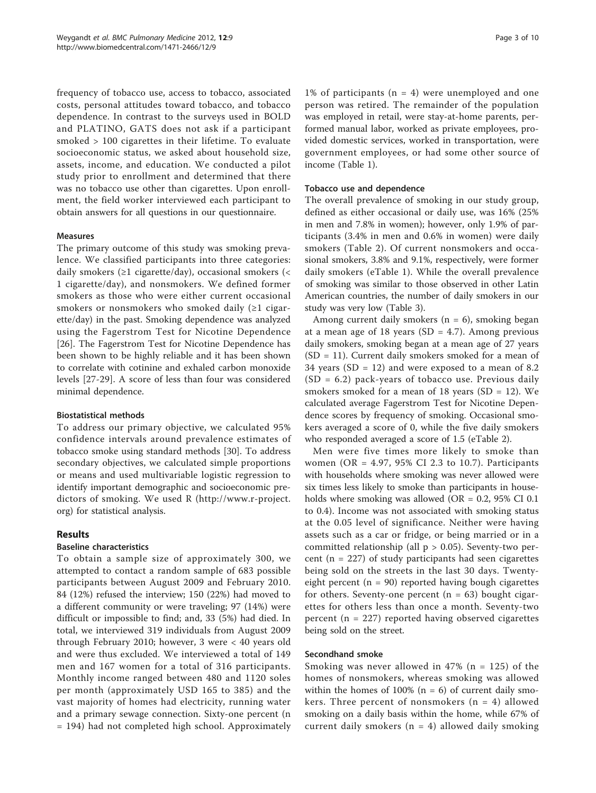frequency of tobacco use, access to tobacco, associated costs, personal attitudes toward tobacco, and tobacco dependence. In contrast to the surveys used in BOLD and PLATINO, GATS does not ask if a participant smoked > 100 cigarettes in their lifetime. To evaluate socioeconomic status, we asked about household size, assets, income, and education. We conducted a pilot study prior to enrollment and determined that there was no tobacco use other than cigarettes. Upon enrollment, the field worker interviewed each participant to obtain answers for all questions in our questionnaire.

#### Measures

The primary outcome of this study was smoking prevalence. We classified participants into three categories: daily smokers ( $\geq 1$  cigarette/day), occasional smokers (< 1 cigarette/day), and nonsmokers. We defined former smokers as those who were either current occasional smokers or nonsmokers who smoked daily  $(≥1$  cigarette/day) in the past. Smoking dependence was analyzed using the Fagerstrom Test for Nicotine Dependence [[26\]](#page-9-0). The Fagerstrom Test for Nicotine Dependence has been shown to be highly reliable and it has been shown to correlate with cotinine and exhaled carbon monoxide levels [[27](#page-9-0)-[29\]](#page-9-0). A score of less than four was considered minimal dependence.

#### Biostatistical methods

To address our primary objective, we calculated 95% confidence intervals around prevalence estimates of tobacco smoke using standard methods [[30\]](#page-9-0). To address secondary objectives, we calculated simple proportions or means and used multivariable logistic regression to identify important demographic and socioeconomic predictors of smoking. We used R ([http://www.r-project.](http://www.r-project.org) [org](http://www.r-project.org)) for statistical analysis.

# Results

# Baseline characteristics

To obtain a sample size of approximately 300, we attempted to contact a random sample of 683 possible participants between August 2009 and February 2010. 84 (12%) refused the interview; 150 (22%) had moved to a different community or were traveling; 97 (14%) were difficult or impossible to find; and, 33 (5%) had died. In total, we interviewed 319 individuals from August 2009 through February 2010; however, 3 were < 40 years old and were thus excluded. We interviewed a total of 149 men and 167 women for a total of 316 participants. Monthly income ranged between 480 and 1120 soles per month (approximately USD 165 to 385) and the vast majority of homes had electricity, running water and a primary sewage connection. Sixty-one percent (n = 194) had not completed high school. Approximately

1% of participants ( $n = 4$ ) were unemployed and one person was retired. The remainder of the population was employed in retail, were stay-at-home parents, performed manual labor, worked as private employees, provided domestic services, worked in transportation, were government employees, or had some other source of income (Table [1](#page-3-0)).

#### Tobacco use and dependence

The overall prevalence of smoking in our study group, defined as either occasional or daily use, was 16% (25% in men and 7.8% in women); however, only 1.9% of participants (3.4% in men and 0.6% in women) were daily smokers (Table [2\)](#page-4-0). Of current nonsmokers and occasional smokers, 3.8% and 9.1%, respectively, were former daily smokers (eTable [1\)](#page-3-0). While the overall prevalence of smoking was similar to those observed in other Latin American countries, the number of daily smokers in our study was very low (Table [3\)](#page-4-0).

Among current daily smokers ( $n = 6$ ), smoking began at a mean age of 18 years (SD = 4.7). Among previous daily smokers, smoking began at a mean age of 27 years (SD = 11). Current daily smokers smoked for a mean of 34 years (SD = 12) and were exposed to a mean of  $8.2$  $(SD = 6.2)$  pack-years of tobacco use. Previous daily smokers smoked for a mean of 18 years (SD = 12). We calculated average Fagerstrom Test for Nicotine Dependence scores by frequency of smoking. Occasional smokers averaged a score of 0, while the five daily smokers who responded averaged a score of 1.5 (eTable [2](#page-4-0)).

Men were five times more likely to smoke than women (OR = 4.97, 95% CI 2.3 to 10.7). Participants with households where smoking was never allowed were six times less likely to smoke than participants in households where smoking was allowed (OR =  $0.2$ , 95% CI 0.1 to 0.4). Income was not associated with smoking status at the 0.05 level of significance. Neither were having assets such as a car or fridge, or being married or in a committed relationship (all  $p > 0.05$ ). Seventy-two percent ( $n = 227$ ) of study participants had seen cigarettes being sold on the streets in the last 30 days. Twentyeight percent ( $n = 90$ ) reported having bough cigarettes for others. Seventy-one percent  $(n = 63)$  bought cigarettes for others less than once a month. Seventy-two percent ( $n = 227$ ) reported having observed cigarettes being sold on the street.

# Secondhand smoke

Smoking was never allowed in  $47\%$  (n = 125) of the homes of nonsmokers, whereas smoking was allowed within the homes of 100% ( $n = 6$ ) of current daily smokers. Three percent of nonsmokers  $(n = 4)$  allowed smoking on a daily basis within the home, while 67% of current daily smokers  $(n = 4)$  allowed daily smoking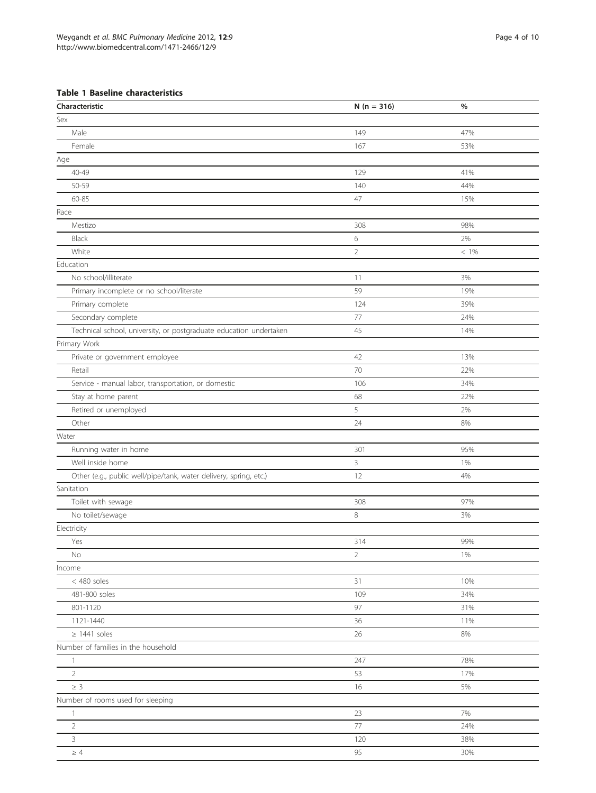#### <span id="page-3-0"></span>Table 1 Baseline characteristics

| Characteristic                                                     | $N(n = 316)$   | $\%$    |
|--------------------------------------------------------------------|----------------|---------|
| Sex                                                                |                |         |
| Male                                                               | 149            | 47%     |
| Female                                                             | 167            | 53%     |
| Age                                                                |                |         |
| 40-49                                                              | 129            | 41%     |
| 50-59                                                              | 140            | 44%     |
| 60-85                                                              | 47             | 15%     |
| Race                                                               |                |         |
| Mestizo                                                            | 308            | 98%     |
| Black                                                              | 6              | 2%      |
| White                                                              | $\overline{2}$ | $< 1\%$ |
| Education                                                          |                |         |
| No school/illiterate                                               | 11             | 3%      |
| Primary incomplete or no school/literate                           | 59             | 19%     |
| Primary complete                                                   | 124            | 39%     |
| Secondary complete                                                 | 77             | 24%     |
| Technical school, university, or postgraduate education undertaken | 45             | 14%     |
| Primary Work                                                       |                |         |
| Private or government employee                                     | 42             | 13%     |
| Retail                                                             | 70             | 22%     |
| Service - manual labor, transportation, or domestic                | 106            | 34%     |
| Stay at home parent                                                | 68             | 22%     |
| Retired or unemployed                                              | 5              | 2%      |
| Other                                                              | 24             | 8%      |
| Water                                                              |                |         |
| Running water in home                                              | 301            | 95%     |
| Well inside home                                                   | $\mathsf 3$    | 1%      |
| Other (e.g., public well/pipe/tank, water delivery, spring, etc.)  | 12             | 4%      |
| Sanitation                                                         |                |         |
| Toilet with sewage                                                 | 308            | 97%     |
| No toilet/sewage                                                   | 8              | 3%      |
| Electricity                                                        |                |         |
| Yes                                                                | 314            | 99%     |
| No                                                                 | $\overline{2}$ | 1%      |
| Income                                                             |                |         |
| $<$ 480 soles                                                      | 31             | 10%     |
| 481-800 soles                                                      | 109            | 34%     |
| 801-1120                                                           | 97             | 31%     |
| 1121-1440                                                          | 36             | 11%     |
| $\geq$ 1441 soles                                                  | 26             | 8%      |
| Number of families in the household                                |                |         |
| $\overline{1}$                                                     | 247            | 78%     |
| $\overline{2}$                                                     | 53             | 17%     |
| $\geq 3$                                                           | 16             | 5%      |
| Number of rooms used for sleeping                                  |                |         |
| $\mathbf{1}$                                                       | 23             | 7%      |
| $\mathbf 2$                                                        | $77\,$         | 24%     |
| 3                                                                  | 120            | 38%     |
| $\geq 4$                                                           | 95             | 30%     |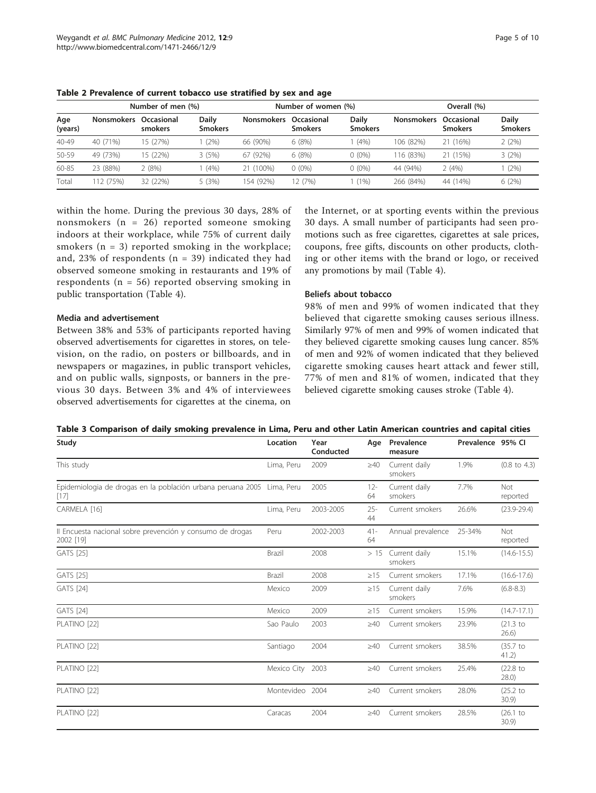| Number of men (%) |                   |                       | Number of women (%)            |                   |                              | Overall (%)                    |                   |                              |                         |
|-------------------|-------------------|-----------------------|--------------------------------|-------------------|------------------------------|--------------------------------|-------------------|------------------------------|-------------------------|
| Age<br>(years)    | <b>Nonsmokers</b> | Occasional<br>smokers | <b>Daily</b><br><b>Smokers</b> | <b>Nonsmokers</b> | Occasional<br><b>Smokers</b> | <b>Daily</b><br><b>Smokers</b> | <b>Nonsmokers</b> | Occasional<br><b>Smokers</b> | Daily<br><b>Smokers</b> |
| 40-49             | 40 (71%)          | 15 (27%)              | (2%)                           | 66 (90%)          | 6(8%)                        | (4% )                          | 106 (82%)         | 21 (16%)                     | 2(2%)                   |
| 50-59             | 49 (73%)          | 15 (22%)              | 3(5%)                          | 67 (92%)          | 6(8%)                        | $0(0\%)$                       | 16 (83%)          | 21 (15%)                     | 3(2%)                   |
| 60-85             | 23 (88%)          | 2(8%)                 | (4% )                          | 21 (100%)         | $0(0\%)$                     | $0(0\%)$                       | 44 (94%)          | 2(4%)                        | $(2\%)$                 |
| Total             | 112 (75%)         | 32 (22%)              | 5 (3%)                         | 154 (92%)         | 12 (7%)                      | (1%)                           | 266 (84%)         | 44 (14%)                     | 6(2%)                   |

<span id="page-4-0"></span>Table 2 Prevalence of current tobacco use stratified by sex and age

within the home. During the previous 30 days, 28% of nonsmokers (n = 26) reported someone smoking indoors at their workplace, while 75% of current daily smokers  $(n = 3)$  reported smoking in the workplace; and,  $23\%$  of respondents (n = 39) indicated they had observed someone smoking in restaurants and 19% of respondents ( $n = 56$ ) reported observing smoking in public transportation (Table [4](#page-5-0)).

#### Media and advertisement

Between 38% and 53% of participants reported having observed advertisements for cigarettes in stores, on television, on the radio, on posters or billboards, and in newspapers or magazines, in public transport vehicles, and on public walls, signposts, or banners in the previous 30 days. Between 3% and 4% of interviewees observed advertisements for cigarettes at the cinema, on

the Internet, or at sporting events within the previous 30 days. A small number of participants had seen promotions such as free cigarettes, cigarettes at sale prices, coupons, free gifts, discounts on other products, clothing or other items with the brand or logo, or received any promotions by mail (Table [4](#page-5-0)).

#### Beliefs about tobacco

98% of men and 99% of women indicated that they believed that cigarette smoking causes serious illness. Similarly 97% of men and 99% of women indicated that they believed cigarette smoking causes lung cancer. 85% of men and 92% of women indicated that they believed cigarette smoking causes heart attack and fewer still, 77% of men and 81% of women, indicated that they believed cigarette smoking causes stroke (Table [4](#page-5-0)).

|  | Table 3 Comparison of daily smoking prevalence in Lima, Peru and other Latin American countries and capital cities |
|--|--------------------------------------------------------------------------------------------------------------------|
|--|--------------------------------------------------------------------------------------------------------------------|

| Study                                                                          | Location        | Year<br>Conducted | Age          | Prevalence<br>measure           | Prevalence 95% CI |                         |
|--------------------------------------------------------------------------------|-----------------|-------------------|--------------|---------------------------------|-------------------|-------------------------|
| This study                                                                     | Lima, Peru      | 2009              | $\geq 40$    | Current daily<br>smokers        | 1.9%              | $(0.8 \text{ to } 4.3)$ |
| Epidemiologia de drogas en la población urbana peruana 2005 Lima, Peru<br>[17] |                 | 2005              | $12 -$<br>64 | Current daily<br>smokers        | 7.7%              | Not<br>reported         |
| CARMELA [16]                                                                   | Lima, Peru      | 2003-2005         | $25 -$<br>44 | Current smokers                 | 26.6%             | $(23.9 - 29.4)$         |
| Il Encuesta nacional sobre prevención y consumo de drogas<br>2002 [19]         | Peru            | 2002-2003         | $41 -$<br>64 | Annual prevalence               | 25-34%            | Not<br>reported         |
| <b>GATS [25]</b>                                                               | Brazil          | 2008              |              | $> 15$ Current daily<br>smokers | 15.1%             | $(14.6 - 15.5)$         |
| <b>GATS [25]</b>                                                               | Brazil          | 2008              | $\geq$ 15    | Current smokers                 | 17.1%             | $(16.6 - 17.6)$         |
| <b>GATS [24]</b>                                                               | Mexico          | 2009              | $\geq$ 15    | Current daily<br>smokers        | 7.6%              | $(6.8 - 8.3)$           |
| <b>GATS [24]</b>                                                               | Mexico          | 2009              | $\geq$ 15    | Current smokers                 | 15.9%             | $(14.7 - 17.1)$         |
| PLATINO <sub>[22]</sub>                                                        | Sao Paulo       | 2003              | $\geq 40$    | Current smokers                 | 23.9%             | $(21.3)$ to<br>26.6)    |
| PLATINO [22]                                                                   | Santiago        | 2004              | $\geq 40$    | Current smokers                 | 38.5%             | $(35.7)$ to<br>41.2)    |
| PLATINO <sub>[22]</sub>                                                        | Mexico City     | 2003              | $\geq 40$    | Current smokers                 | 25.4%             | $(22.8)$ to<br>28.0)    |
| PLATINO <sub>[22]</sub>                                                        | Montevideo 2004 |                   | $\geq 40$    | Current smokers                 | 28.0%             | $(25.2)$ to<br>30.9)    |
| PLATINO <sub>[22]</sub>                                                        | Caracas         | 2004              | >40          | Current smokers                 | 28.5%             | (26.1)<br>30.9)         |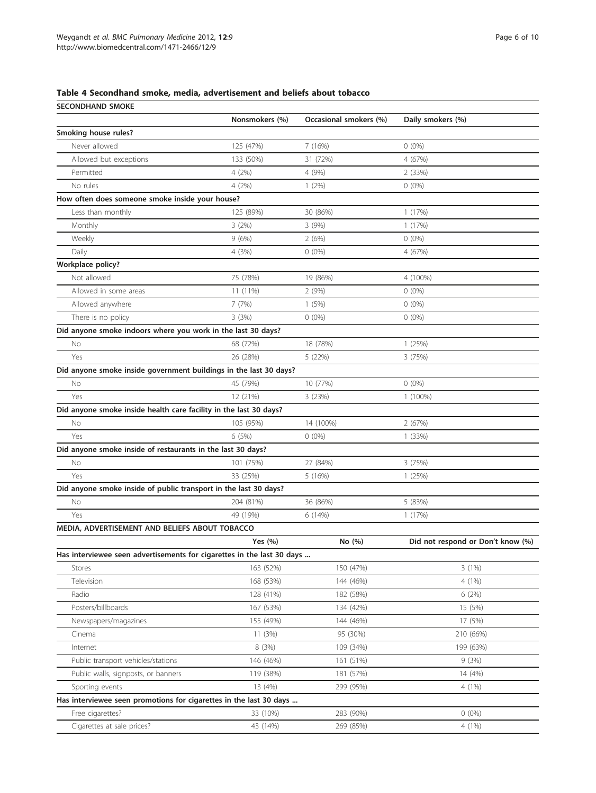<span id="page-5-0"></span>

| <b>SECONDHAND SMOKE</b>                                                |                |                        |                                   |  |  |
|------------------------------------------------------------------------|----------------|------------------------|-----------------------------------|--|--|
|                                                                        | Nonsmokers (%) | Occasional smokers (%) | Daily smokers (%)                 |  |  |
| Smoking house rules?                                                   |                |                        |                                   |  |  |
| Never allowed                                                          | 125 (47%)      | 7 (16%)                | $0(0\%)$                          |  |  |
| Allowed but exceptions                                                 | 133 (50%)      | 31 (72%)               | 4 (67%)                           |  |  |
| Permitted                                                              | 4(2%)          | 4 (9%)                 | 2 (33%)                           |  |  |
| No rules                                                               | 4(2%)          | $1(2\%)$               | $0(0\%)$                          |  |  |
| How often does someone smoke inside your house?                        |                |                        |                                   |  |  |
| Less than monthly                                                      | 125 (89%)      | 30 (86%)               | 1(17%)                            |  |  |
| Monthly                                                                | 3(2%)          | 3(9%)                  | 1(17%)                            |  |  |
| Weekly                                                                 | 9(6%)          | 2(6%)                  | $0(0\%)$                          |  |  |
| Daily                                                                  | 4(3%)          | $0(0\%)$               | 4 (67%)                           |  |  |
| Workplace policy?                                                      |                |                        |                                   |  |  |
| Not allowed                                                            | 75 (78%)       | 19 (86%)               | 4 (100%)                          |  |  |
| Allowed in some areas                                                  | 11 (11%)       | 2(9%)                  | $0(0\%)$                          |  |  |
| Allowed anywhere                                                       | 7 (7%)         | 1(5%)                  | $0(0\%)$                          |  |  |
| There is no policy                                                     | 3(3%)          | $0(0\%)$               | $0(0\%)$                          |  |  |
| Did anyone smoke indoors where you work in the last 30 days?           |                |                        |                                   |  |  |
| No                                                                     | 68 (72%)       | 18 (78%)               | 1(25%)                            |  |  |
| Yes                                                                    | 26 (28%)       | 5 (22%)                | 3(75%)                            |  |  |
| Did anyone smoke inside government buildings in the last 30 days?      |                |                        |                                   |  |  |
| <b>No</b>                                                              | 45 (79%)       | 10 (77%)               | $0(0\%)$                          |  |  |
| Yes                                                                    | 12 (21%)       | 3(23%)                 | $1(100\%)$                        |  |  |
| Did anyone smoke inside health care facility in the last 30 days?      |                |                        |                                   |  |  |
| No                                                                     | 105 (95%)      | 14 (100%)              | 2(67%)                            |  |  |
| Yes                                                                    | 6 (5%)         | $0(0\%)$               | 1(33%)                            |  |  |
| Did anyone smoke inside of restaurants in the last 30 days?            |                |                        |                                   |  |  |
| No                                                                     | 101 (75%)      | 27 (84%)               | 3 (75%)                           |  |  |
| Yes                                                                    | 33 (25%)       | 5 (16%)                | 1(25%)                            |  |  |
| Did anyone smoke inside of public transport in the last 30 days?       |                |                        |                                   |  |  |
| No                                                                     | 204 (81%)      | 36 (86%)               | 5 (83%)                           |  |  |
| Yes                                                                    | 49 (19%)       | 6 (14%)                | 1(17%)                            |  |  |
| MEDIA, ADVERTISEMENT AND BELIEFS ABOUT TOBACCO                         |                |                        |                                   |  |  |
|                                                                        | Yes (%)        | No $(% )$              | Did not respond or Don't know (%) |  |  |
| Has interviewee seen advertisements for cigarettes in the last 30 days |                |                        |                                   |  |  |
| Stores                                                                 | 163 (52%)      | 150 (47%)              | 3(1%)                             |  |  |
| Television                                                             | 168 (53%)      | 144 (46%)              | 4(1%)                             |  |  |
| Radio                                                                  | 128 (41%)      | 182 (58%)              | 6(2%)                             |  |  |
| Posters/billboards                                                     | 167 (53%)      | 134 (42%)              | 15 (5%)                           |  |  |
| Newspapers/magazines                                                   | 155 (49%)      | 144 (46%)              | 17 (5%)                           |  |  |
| Cinema                                                                 | 11 (3%)        | 95 (30%)               | 210 (66%)                         |  |  |
| Internet                                                               | 8(3%)          | 109 (34%)              | 199 (63%)                         |  |  |
| Public transport vehicles/stations                                     | 146 (46%)      | 161 (51%)              | 9(3%)                             |  |  |
| Public walls, signposts, or banners                                    | 119 (38%)      | 181 (57%)              | 14 (4%)                           |  |  |
| Sporting events                                                        | 13 (4%)        | 299 (95%)              | 4(1%)                             |  |  |
| Has interviewee seen promotions for cigarettes in the last 30 days     |                |                        |                                   |  |  |
| Free cigarettes?                                                       | 33 (10%)       | 283 (90%)              | $0(0\%)$                          |  |  |
| Cigarettes at sale prices?                                             | 43 (14%)       | 269 (85%)              | 4(1%)                             |  |  |
|                                                                        |                |                        |                                   |  |  |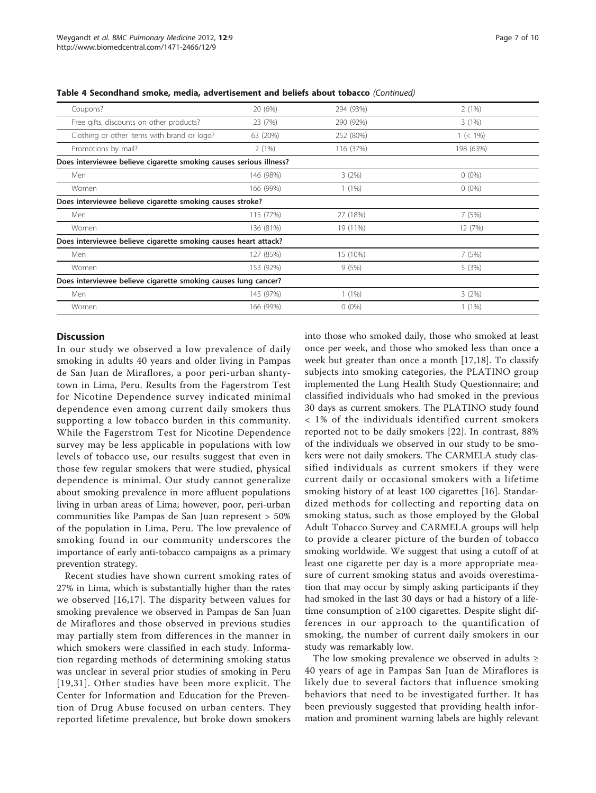| Coupons?                                                           | 20 (6%)   | 294 (93%) | 2(1%)       |
|--------------------------------------------------------------------|-----------|-----------|-------------|
| Free gifts, discounts on other products?                           | 23 (7%)   | 290 (92%) | 3(1%)       |
| Clothing or other items with brand or logo?                        | 63 (20%)  | 252 (80%) | $1 (< 1\%)$ |
| Promotions by mail?                                                | 2(1%)     | 116 (37%) | 198 (63%)   |
| Does interviewee believe cigarette smoking causes serious illness? |           |           |             |
| Men                                                                | 146 (98%) | 3(2%)     | $0(0\%)$    |
| Women                                                              | 166 (99%) | 1(1%)     | $0(0\%)$    |
| Does interviewee believe cigarette smoking causes stroke?          |           |           |             |
| Men                                                                | 115 (77%) | 27 (18%)  | 7(5%)       |
| Women                                                              | 136 (81%) | 19 (11%)  | 12 (7%)     |
| Does interviewee believe cigarette smoking causes heart attack?    |           |           |             |
| Men                                                                | 127 (85%) | 15 (10%)  | 7(5%)       |
| Women                                                              | 153 (92%) | 9(5%)     | 5(3%)       |
| Does interviewee believe cigarette smoking causes lung cancer?     |           |           |             |
| Men                                                                | 145 (97%) | $1(1\%)$  | 3(2%)       |
| Women                                                              | 166 (99%) | $0(0\%)$  | $1(1\%)$    |
|                                                                    |           |           |             |

Table 4 Secondhand smoke, media, advertisement and beliefs about tobacco (Continued)

#### **Discussion**

In our study we observed a low prevalence of daily smoking in adults 40 years and older living in Pampas de San Juan de Miraflores, a poor peri-urban shantytown in Lima, Peru. Results from the Fagerstrom Test for Nicotine Dependence survey indicated minimal dependence even among current daily smokers thus supporting a low tobacco burden in this community. While the Fagerstrom Test for Nicotine Dependence survey may be less applicable in populations with low levels of tobacco use, our results suggest that even in those few regular smokers that were studied, physical dependence is minimal. Our study cannot generalize about smoking prevalence in more affluent populations living in urban areas of Lima; however, poor, peri-urban communities like Pampas de San Juan represent > 50% of the population in Lima, Peru. The low prevalence of smoking found in our community underscores the importance of early anti-tobacco campaigns as a primary prevention strategy.

Recent studies have shown current smoking rates of 27% in Lima, which is substantially higher than the rates we observed [[16,17\]](#page-9-0). The disparity between values for smoking prevalence we observed in Pampas de San Juan de Miraflores and those observed in previous studies may partially stem from differences in the manner in which smokers were classified in each study. Information regarding methods of determining smoking status was unclear in several prior studies of smoking in Peru [[19,31](#page-9-0)]. Other studies have been more explicit. The Center for Information and Education for the Prevention of Drug Abuse focused on urban centers. They reported lifetime prevalence, but broke down smokers

into those who smoked daily, those who smoked at least once per week, and those who smoked less than once a week but greater than once a month [[17,18\]](#page-9-0). To classify subjects into smoking categories, the PLATINO group implemented the Lung Health Study Questionnaire; and classified individuals who had smoked in the previous 30 days as current smokers. The PLATINO study found < 1% of the individuals identified current smokers reported not to be daily smokers [[22\]](#page-9-0). In contrast, 88% of the individuals we observed in our study to be smokers were not daily smokers. The CARMELA study classified individuals as current smokers if they were current daily or occasional smokers with a lifetime smoking history of at least 100 cigarettes [\[16](#page-9-0)]. Standardized methods for collecting and reporting data on smoking status, such as those employed by the Global Adult Tobacco Survey and CARMELA groups will help to provide a clearer picture of the burden of tobacco smoking worldwide. We suggest that using a cutoff of at least one cigarette per day is a more appropriate measure of current smoking status and avoids overestimation that may occur by simply asking participants if they had smoked in the last 30 days or had a history of a lifetime consumption of ≥100 cigarettes. Despite slight differences in our approach to the quantification of smoking, the number of current daily smokers in our study was remarkably low.

The low smoking prevalence we observed in adults  $\geq$ 40 years of age in Pampas San Juan de Miraflores is likely due to several factors that influence smoking behaviors that need to be investigated further. It has been previously suggested that providing health information and prominent warning labels are highly relevant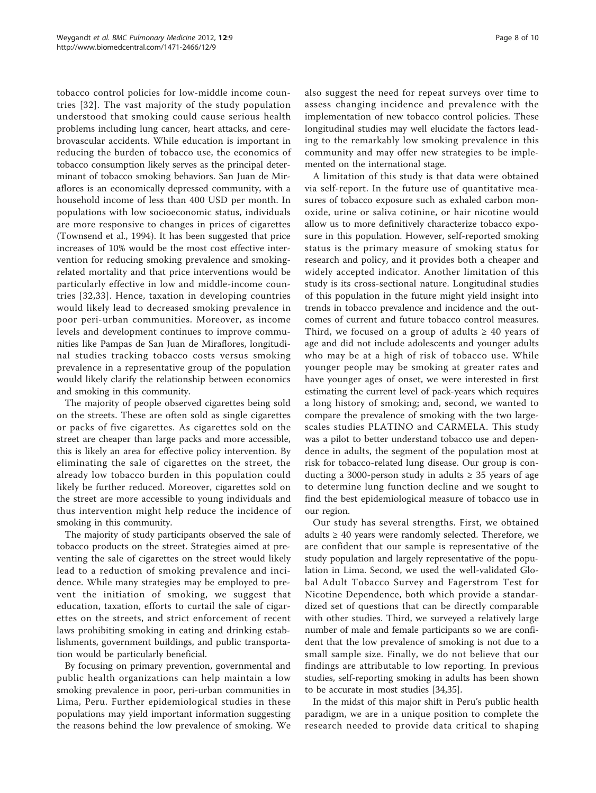tobacco control policies for low-middle income countries [[32\]](#page-9-0). The vast majority of the study population understood that smoking could cause serious health problems including lung cancer, heart attacks, and cerebrovascular accidents. While education is important in reducing the burden of tobacco use, the economics of tobacco consumption likely serves as the principal determinant of tobacco smoking behaviors. San Juan de Miraflores is an economically depressed community, with a household income of less than 400 USD per month. In populations with low socioeconomic status, individuals are more responsive to changes in prices of cigarettes (Townsend et al., 1994). It has been suggested that price increases of 10% would be the most cost effective intervention for reducing smoking prevalence and smokingrelated mortality and that price interventions would be particularly effective in low and middle-income countries [[32](#page-9-0),[33\]](#page-9-0). Hence, taxation in developing countries would likely lead to decreased smoking prevalence in poor peri-urban communities. Moreover, as income levels and development continues to improve communities like Pampas de San Juan de Miraflores, longitudinal studies tracking tobacco costs versus smoking prevalence in a representative group of the population would likely clarify the relationship between economics and smoking in this community.

The majority of people observed cigarettes being sold on the streets. These are often sold as single cigarettes or packs of five cigarettes. As cigarettes sold on the street are cheaper than large packs and more accessible, this is likely an area for effective policy intervention. By eliminating the sale of cigarettes on the street, the already low tobacco burden in this population could likely be further reduced. Moreover, cigarettes sold on the street are more accessible to young individuals and thus intervention might help reduce the incidence of smoking in this community.

The majority of study participants observed the sale of tobacco products on the street. Strategies aimed at preventing the sale of cigarettes on the street would likely lead to a reduction of smoking prevalence and incidence. While many strategies may be employed to prevent the initiation of smoking, we suggest that education, taxation, efforts to curtail the sale of cigarettes on the streets, and strict enforcement of recent laws prohibiting smoking in eating and drinking establishments, government buildings, and public transportation would be particularly beneficial.

By focusing on primary prevention, governmental and public health organizations can help maintain a low smoking prevalence in poor, peri-urban communities in Lima, Peru. Further epidemiological studies in these populations may yield important information suggesting the reasons behind the low prevalence of smoking. We also suggest the need for repeat surveys over time to assess changing incidence and prevalence with the implementation of new tobacco control policies. These longitudinal studies may well elucidate the factors leading to the remarkably low smoking prevalence in this community and may offer new strategies to be implemented on the international stage.

A limitation of this study is that data were obtained via self-report. In the future use of quantitative measures of tobacco exposure such as exhaled carbon monoxide, urine or saliva cotinine, or hair nicotine would allow us to more definitively characterize tobacco exposure in this population. However, self-reported smoking status is the primary measure of smoking status for research and policy, and it provides both a cheaper and widely accepted indicator. Another limitation of this study is its cross-sectional nature. Longitudinal studies of this population in the future might yield insight into trends in tobacco prevalence and incidence and the outcomes of current and future tobacco control measures. Third, we focused on a group of adults  $\geq 40$  years of age and did not include adolescents and younger adults who may be at a high of risk of tobacco use. While younger people may be smoking at greater rates and have younger ages of onset, we were interested in first estimating the current level of pack-years which requires a long history of smoking; and, second, we wanted to compare the prevalence of smoking with the two largescales studies PLATINO and CARMELA. This study was a pilot to better understand tobacco use and dependence in adults, the segment of the population most at risk for tobacco-related lung disease. Our group is conducting a 3000-person study in adults  $\geq$  35 years of age to determine lung function decline and we sought to find the best epidemiological measure of tobacco use in our region.

Our study has several strengths. First, we obtained adults  $\geq 40$  years were randomly selected. Therefore, we are confident that our sample is representative of the study population and largely representative of the population in Lima. Second, we used the well-validated Global Adult Tobacco Survey and Fagerstrom Test for Nicotine Dependence, both which provide a standardized set of questions that can be directly comparable with other studies. Third, we surveyed a relatively large number of male and female participants so we are confident that the low prevalence of smoking is not due to a small sample size. Finally, we do not believe that our findings are attributable to low reporting. In previous studies, self-reporting smoking in adults has been shown to be accurate in most studies [\[34,35\]](#page-9-0).

In the midst of this major shift in Peru's public health paradigm, we are in a unique position to complete the research needed to provide data critical to shaping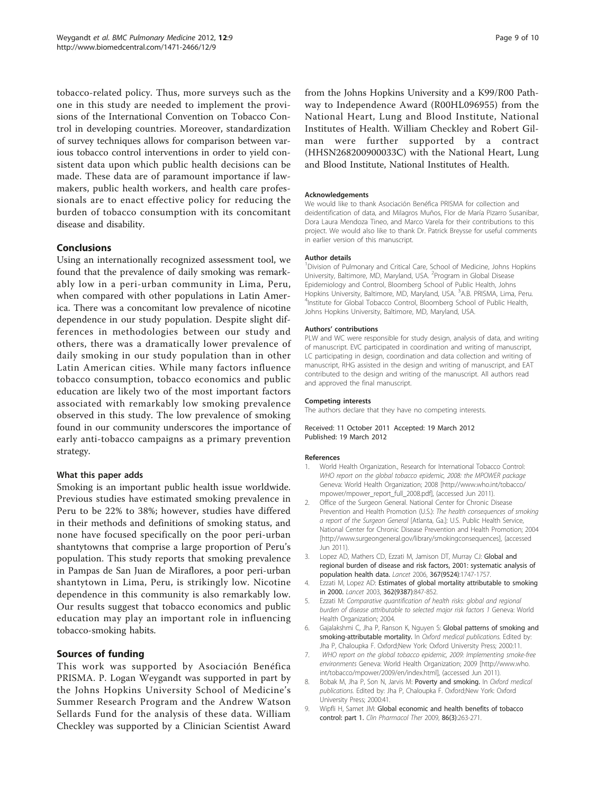<span id="page-8-0"></span>tobacco-related policy. Thus, more surveys such as the one in this study are needed to implement the provisions of the International Convention on Tobacco Control in developing countries. Moreover, standardization of survey techniques allows for comparison between various tobacco control interventions in order to yield consistent data upon which public health decisions can be made. These data are of paramount importance if lawmakers, public health workers, and health care professionals are to enact effective policy for reducing the burden of tobacco consumption with its concomitant disease and disability.

# Conclusions

Using an internationally recognized assessment tool, we found that the prevalence of daily smoking was remarkably low in a peri-urban community in Lima, Peru, when compared with other populations in Latin America. There was a concomitant low prevalence of nicotine dependence in our study population. Despite slight differences in methodologies between our study and others, there was a dramatically lower prevalence of daily smoking in our study population than in other Latin American cities. While many factors influence tobacco consumption, tobacco economics and public education are likely two of the most important factors associated with remarkably low smoking prevalence observed in this study. The low prevalence of smoking found in our community underscores the importance of early anti-tobacco campaigns as a primary prevention strategy.

# What this paper adds

Smoking is an important public health issue worldwide. Previous studies have estimated smoking prevalence in Peru to be 22% to 38%; however, studies have differed in their methods and definitions of smoking status, and none have focused specifically on the poor peri-urban shantytowns that comprise a large proportion of Peru's population. This study reports that smoking prevalence in Pampas de San Juan de Miraflores, a poor peri-urban shantytown in Lima, Peru, is strikingly low. Nicotine dependence in this community is also remarkably low. Our results suggest that tobacco economics and public education may play an important role in influencing tobacco-smoking habits.

# Sources of funding

This work was supported by Asociación Benéfica PRISMA. P. Logan Weygandt was supported in part by the Johns Hopkins University School of Medicine's Summer Research Program and the Andrew Watson Sellards Fund for the analysis of these data. William Checkley was supported by a Clinician Scientist Award

from the Johns Hopkins University and a K99/R00 Pathway to Independence Award (R00HL096955) from the National Heart, Lung and Blood Institute, National Institutes of Health. William Checkley and Robert Gilman were further supported by a contract (HHSN268200900033C) with the National Heart, Lung and Blood Institute, National Institutes of Health.

#### Acknowledgements

We would like to thank Asociación Benéfica PRISMA for collection and deidentification of data, and Milagros Muños, Flor de María Pizarro Susanibar, Dora Laura Mendoza Tineo, and Marco Varela for their contributions to this project. We would also like to thank Dr. Patrick Breysse for useful comments in earlier version of this manuscript.

#### Author details

<sup>1</sup> Division of Pulmonary and Critical Care, School of Medicine, Johns Hopkins University, Baltimore, MD, Maryland, USA. <sup>2</sup>Program in Global Disease Epidemiology and Control, Bloomberg School of Public Health, Johns Hopkins University, Baltimore, MD, Maryland, USA. <sup>3</sup>A.B. PRISMA, Lima, Peru.<br><sup>4</sup>Institute for Global Tobacco Control, Bloomberg School of Public Haalth. <sup>4</sup>Institute for Global Tobacco Control, Bloomberg School of Public Health, Johns Hopkins University, Baltimore, MD, Maryland, USA.

#### Authors' contributions

PLW and WC were responsible for study design, analysis of data, and writing of manuscript. EVC participated in coordination and writing of manuscript, LC participating in design, coordination and data collection and writing of manuscript, RHG assisted in the design and writing of manuscript, and EAT contributed to the design and writing of the manuscript. All authors read and approved the final manuscript.

#### Competing interests

The authors declare that they have no competing interests.

#### Received: 11 October 2011 Accepted: 19 March 2012 Published: 19 March 2012

#### References

- 1. World Health Organization., Research for International Tobacco Control: WHO report on the global tobacco epidemic, 2008: the MPOWER package Geneva: World Health Organization; 2008 [\[http://www.who.int/tobacco/](http://www.who.int/tobacco/mpower/mpower_report_full_2008.pdf) [mpower/mpower\\_report\\_full\\_2008.pdf\]](http://www.who.int/tobacco/mpower/mpower_report_full_2008.pdf), (accessed Jun 2011).
- 2. Office of the Surgeon General. National Center for Chronic Disease Prevention and Health Promotion (U.S.): The health consequences of smoking a report of the Surgeon General [Atlanta, Ga.]: U.S. Public Health Service, National Center for Chronic Disease Prevention and Health Promotion; 2004 [[http://www.surgeongeneral.gov/library/smokingconsequences\]](http://www.surgeongeneral.gov/library/smokingconsequences), (accessed Jun 2011).
- 3. Lopez AD, Mathers CD, Ezzati M, Jamison DT, Murray CJ: [Global and](http://www.ncbi.nlm.nih.gov/pubmed/16731270?dopt=Abstract) [regional burden of disease and risk factors, 2001: systematic analysis of](http://www.ncbi.nlm.nih.gov/pubmed/16731270?dopt=Abstract) [population health data.](http://www.ncbi.nlm.nih.gov/pubmed/16731270?dopt=Abstract) Lancet 2006, 367(9524):1747-1757.
- 4. Ezzati M, Lopez AD: [Estimates of global mortality attributable to smoking](http://www.ncbi.nlm.nih.gov/pubmed/13678970?dopt=Abstract) [in 2000.](http://www.ncbi.nlm.nih.gov/pubmed/13678970?dopt=Abstract) Lancet 2003, 362(9387):847-852.
- 5. Ezzati M: Comparative quantification of health risks: global and regional burden of disease attributable to selected major risk factors 1 Geneva: World Health Organization; 2004.
- 6. Gajalakshmi C, Jha P, Ranson K, Nguyen S: Global patterns of smoking and smoking-attributable mortality. In Oxford medical publications. Edited by: Jha P, Chaloupka F. Oxford;New York: Oxford University Press; 2000:11.
- 7. WHO report on the global tobacco epidemic, 2009: Implementing smoke-free environments Geneva: World Health Organization; 2009 [\[http://www.who.](http://www.who.int/tobacco/mpower/2009/en/index.html) [int/tobacco/mpower/2009/en/index.html\]](http://www.who.int/tobacco/mpower/2009/en/index.html), (accessed Jun 2011).
- Bobak M, Jha P, Son N, Jarvis M: Poverty and smoking. In Oxford medical publications. Edited by: Jha P, Chaloupka F. Oxford;New York: Oxford University Press; 2000:41.
- 9. Wipfli H, Samet JM: [Global economic and health benefits of tobacco](http://www.ncbi.nlm.nih.gov/pubmed/19536067?dopt=Abstract) [control: part 1.](http://www.ncbi.nlm.nih.gov/pubmed/19536067?dopt=Abstract) Clin Pharmacol Ther 2009, 86(3):263-271.